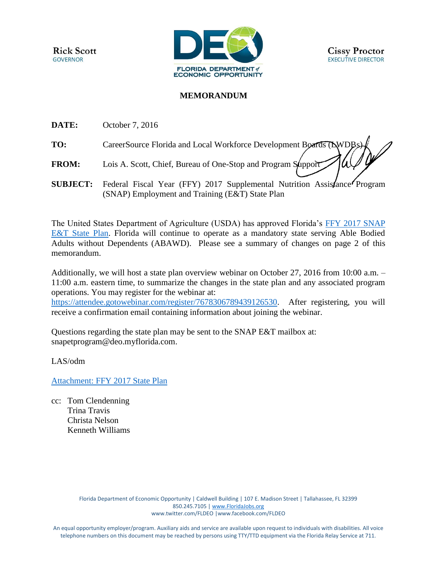

## **MEMORANDUM**

**DATE:** October 7, 2016

- TO: CareerSource Florida and Local Workforce Development Boards (LWDB)
- **FROM:** Lois A. Scott, Chief, Bureau of One-Stop and Program Support
- **SUBJECT:** Federal Fiscal Year (FFY) 2017 Supplemental Nutrition Assistance Program (SNAP) Employment and Training (E&T) State Plan

The United States Department of Agriculture (USDA) has approved Florida's [FFY 2017 SNAP](http://sitefinity.floridajobs.org/docs/default-source/office-of-workforce-services/finalsnap_et_sttaeplanfns_comments.pdf?sfvrsn=4)  [E&T State Plan.](http://sitefinity.floridajobs.org/docs/default-source/office-of-workforce-services/finalsnap_et_sttaeplanfns_comments.pdf?sfvrsn=4) Florida will continue to operate as a mandatory state serving Able Bodied Adults without Dependents (ABAWD). Please see a summary of changes on page 2 of this memorandum.

Additionally, we will host a state plan overview webinar on October 27, 2016 from 10:00 a.m. – 11:00 a.m. eastern time, to summarize the changes in the state plan and any associated program operations. You may register for the webinar at:

[https://attendee.gotowebinar.com/register/7678306789439126530.](https://attendee.gotowebinar.com/register/7678306789439126530) After registering, you will receive a confirmation email containing information about joining the webinar.

Questions regarding the state plan may be sent to the SNAP E&T mailbox at: [snapetprogram@deo.myflorida.com.](mailto:snapetprogram@deo.myflorida.com)

LAS/odm

[Attachment: FFY 2017 State Plan](http://sitefinity.floridajobs.org/docs/default-source/office-of-workforce-services/finalsnap_et_sttaeplanfns_comments.pdf?sfvrsn=4)

cc: Tom Clendenning Trina Travis Christa Nelson Kenneth Williams

> Florida Department of Economic Opportunity | Caldwell Building | 107 E. Madison Street | Tallahassee, FL 32399 850.245.7105 [| www.FloridaJobs.org](http://www.floridajobs.org/) [www.twitter.com/FLDEO](http://www.twitter.com/FLDEO) |www.facebook.com/FLDEO

An equal opportunity employer/program. Auxiliary aids and service are available upon request to individuals with disabilities. All voice telephone numbers on this document may be reached by persons using TTY/TTD equipment via the Florida Relay Service at 711.